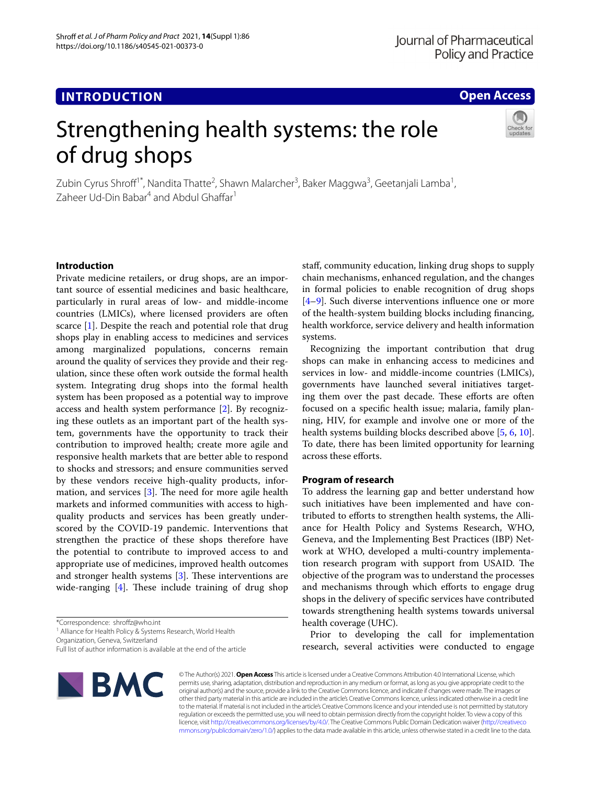**INTRODUCTION**

## **Open Access**

# Strengthening health systems: the role of drug shops



Zubin Cyrus Shroff<sup>1\*</sup>, Nandita Thatte<sup>2</sup>, Shawn Malarcher<sup>3</sup>, Baker Maggwa<sup>3</sup>, Geetanjali Lamba<sup>1</sup>, Zaheer Ud-Din Babar<sup>4</sup> and Abdul Ghaffar<sup>1</sup>

## **Introduction**

Private medicine retailers, or drug shops, are an important source of essential medicines and basic healthcare, particularly in rural areas of low- and middle-income countries (LMICs), where licensed providers are often scarce [[1\]](#page-3-0). Despite the reach and potential role that drug shops play in enabling access to medicines and services among marginalized populations, concerns remain around the quality of services they provide and their regulation, since these often work outside the formal health system. Integrating drug shops into the formal health system has been proposed as a potential way to improve access and health system performance [\[2\]](#page-3-1). By recognizing these outlets as an important part of the health system, governments have the opportunity to track their contribution to improved health; create more agile and responsive health markets that are better able to respond to shocks and stressors; and ensure communities served by these vendors receive high-quality products, information, and services  $[3]$  $[3]$ . The need for more agile health markets and informed communities with access to highquality products and services has been greatly underscored by the COVID-19 pandemic. Interventions that strengthen the practice of these shops therefore have the potential to contribute to improved access to and appropriate use of medicines, improved health outcomes and stronger health systems  $[3]$  $[3]$ . These interventions are wide-ranging  $[4]$  $[4]$ . These include training of drug shop

Organization, Geneva, Switzerland

Full list of author information is available at the end of the article



staf, community education, linking drug shops to supply chain mechanisms, enhanced regulation, and the changes in formal policies to enable recognition of drug shops [[4–](#page-4-0)[9\]](#page-4-1). Such diverse interventions infuence one or more of the health-system building blocks including fnancing, health workforce, service delivery and health information systems.

Recognizing the important contribution that drug shops can make in enhancing access to medicines and services in low- and middle-income countries (LMICs), governments have launched several initiatives targeting them over the past decade. These efforts are often focused on a specifc health issue; malaria, family planning, HIV, for example and involve one or more of the health systems building blocks described above [[5,](#page-4-2) [6,](#page-4-3) [10](#page-4-4)]. To date, there has been limited opportunity for learning across these efforts.

## **Program of research**

To address the learning gap and better understand how such initiatives have been implemented and have contributed to eforts to strengthen health systems, the Alliance for Health Policy and Systems Research, WHO, Geneva, and the Implementing Best Practices (IBP) Network at WHO, developed a multi-country implementation research program with support from USAID. The objective of the program was to understand the processes and mechanisms through which efforts to engage drug shops in the delivery of specifc services have contributed towards strengthening health systems towards universal health coverage (UHC).

Prior to developing the call for implementation research, several activities were conducted to engage

© The Author(s) 2021. **Open Access** This article is licensed under a Creative Commons Attribution 4.0 International License, which permits use, sharing, adaptation, distribution and reproduction in any medium or format, as long as you give appropriate credit to the original author(s) and the source, provide a link to the Creative Commons licence, and indicate if changes were made. The images or other third party material in this article are included in the article's Creative Commons licence, unless indicated otherwise in a credit line to the material. If material is not included in the article's Creative Commons licence and your intended use is not permitted by statutory regulation or exceeds the permitted use, you will need to obtain permission directly from the copyright holder. To view a copy of this licence, visit [http://creativecommons.org/licenses/by/4.0/.](http://creativecommons.org/licenses/by/4.0/) The Creative Commons Public Domain Dedication waiver ([http://creativeco](http://creativecommons.org/publicdomain/zero/1.0/) [mmons.org/publicdomain/zero/1.0/](http://creativecommons.org/publicdomain/zero/1.0/)) applies to the data made available in this article, unless otherwise stated in a credit line to the data.

<sup>\*</sup>Correspondence: shrofz@who.int

<sup>&</sup>lt;sup>1</sup> Alliance for Health Policy & Systems Research, World Health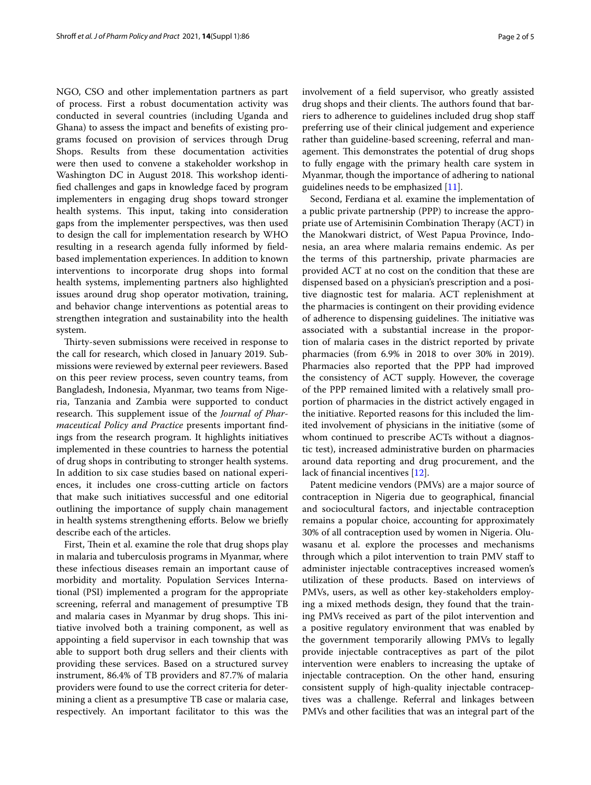NGO, CSO and other implementation partners as part of process. First a robust documentation activity was conducted in several countries (including Uganda and Ghana) to assess the impact and benefts of existing programs focused on provision of services through Drug Shops. Results from these documentation activities were then used to convene a stakeholder workshop in Washington DC in August 2018. This workshop identifed challenges and gaps in knowledge faced by program implementers in engaging drug shops toward stronger health systems. This input, taking into consideration gaps from the implementer perspectives, was then used to design the call for implementation research by WHO resulting in a research agenda fully informed by feldbased implementation experiences. In addition to known interventions to incorporate drug shops into formal health systems, implementing partners also highlighted issues around drug shop operator motivation, training, and behavior change interventions as potential areas to strengthen integration and sustainability into the health system.

Thirty-seven submissions were received in response to the call for research, which closed in January 2019. Submissions were reviewed by external peer reviewers. Based on this peer review process, seven country teams, from Bangladesh, Indonesia, Myanmar, two teams from Nigeria, Tanzania and Zambia were supported to conduct research. This supplement issue of the *Journal of Pharmaceutical Policy and Practice* presents important fndings from the research program. It highlights initiatives implemented in these countries to harness the potential of drug shops in contributing to stronger health systems. In addition to six case studies based on national experiences, it includes one cross-cutting article on factors that make such initiatives successful and one editorial outlining the importance of supply chain management in health systems strengthening efforts. Below we briefly describe each of the articles.

First, Thein et al. examine the role that drug shops play in malaria and tuberculosis programs in Myanmar, where these infectious diseases remain an important cause of morbidity and mortality. Population Services International (PSI) implemented a program for the appropriate screening, referral and management of presumptive TB and malaria cases in Myanmar by drug shops. This initiative involved both a training component, as well as appointing a feld supervisor in each township that was able to support both drug sellers and their clients with providing these services. Based on a structured survey instrument, 86.4% of TB providers and 87.7% of malaria providers were found to use the correct criteria for determining a client as a presumptive TB case or malaria case, respectively. An important facilitator to this was the involvement of a feld supervisor, who greatly assisted drug shops and their clients. The authors found that barriers to adherence to guidelines included drug shop staf preferring use of their clinical judgement and experience rather than guideline-based screening, referral and management. This demonstrates the potential of drug shops to fully engage with the primary health care system in Myanmar, though the importance of adhering to national guidelines needs to be emphasized [\[11](#page-4-5)].

Second, Ferdiana et al. examine the implementation of a public private partnership (PPP) to increase the appropriate use of Artemisinin Combination Therapy (ACT) in the Manokwari district, of West Papua Province, Indonesia, an area where malaria remains endemic. As per the terms of this partnership, private pharmacies are provided ACT at no cost on the condition that these are dispensed based on a physician's prescription and a positive diagnostic test for malaria. ACT replenishment at the pharmacies is contingent on their providing evidence of adherence to dispensing guidelines. The initiative was associated with a substantial increase in the proportion of malaria cases in the district reported by private pharmacies (from 6.9% in 2018 to over 30% in 2019). Pharmacies also reported that the PPP had improved the consistency of ACT supply. However, the coverage of the PPP remained limited with a relatively small proportion of pharmacies in the district actively engaged in the initiative. Reported reasons for this included the limited involvement of physicians in the initiative (some of whom continued to prescribe ACTs without a diagnostic test), increased administrative burden on pharmacies around data reporting and drug procurement, and the lack of fnancial incentives [[12](#page-4-6)].

Patent medicine vendors (PMVs) are a major source of contraception in Nigeria due to geographical, fnancial and sociocultural factors, and injectable contraception remains a popular choice, accounting for approximately 30% of all contraception used by women in Nigeria. Oluwasanu et al. explore the processes and mechanisms through which a pilot intervention to train PMV staf to administer injectable contraceptives increased women's utilization of these products. Based on interviews of PMVs, users, as well as other key-stakeholders employing a mixed methods design, they found that the training PMVs received as part of the pilot intervention and a positive regulatory environment that was enabled by the government temporarily allowing PMVs to legally provide injectable contraceptives as part of the pilot intervention were enablers to increasing the uptake of injectable contraception. On the other hand, ensuring consistent supply of high-quality injectable contraceptives was a challenge. Referral and linkages between PMVs and other facilities that was an integral part of the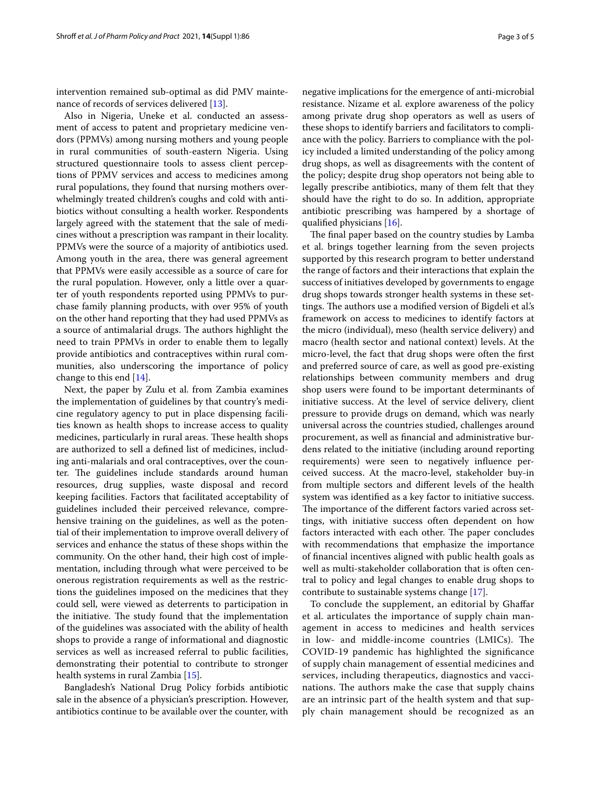intervention remained sub-optimal as did PMV mainte-nance of records of services delivered [\[13](#page-4-7)].

Also in Nigeria, Uneke et al. conducted an assessment of access to patent and proprietary medicine vendors (PPMVs) among nursing mothers and young people in rural communities of south-eastern Nigeria. Using structured questionnaire tools to assess client perceptions of PPMV services and access to medicines among rural populations, they found that nursing mothers overwhelmingly treated children's coughs and cold with antibiotics without consulting a health worker. Respondents largely agreed with the statement that the sale of medicines without a prescription was rampant in their locality. PPMVs were the source of a majority of antibiotics used. Among youth in the area, there was general agreement that PPMVs were easily accessible as a source of care for the rural population. However, only a little over a quarter of youth respondents reported using PPMVs to purchase family planning products, with over 95% of youth on the other hand reporting that they had used PPMVs as a source of antimalarial drugs. The authors highlight the need to train PPMVs in order to enable them to legally provide antibiotics and contraceptives within rural communities, also underscoring the importance of policy change to this end [[14](#page-4-8)].

Next, the paper by Zulu et al. from Zambia examines the implementation of guidelines by that country's medicine regulatory agency to put in place dispensing facilities known as health shops to increase access to quality medicines, particularly in rural areas. These health shops are authorized to sell a defned list of medicines, including anti-malarials and oral contraceptives, over the counter. The guidelines include standards around human resources, drug supplies, waste disposal and record keeping facilities. Factors that facilitated acceptability of guidelines included their perceived relevance, comprehensive training on the guidelines, as well as the potential of their implementation to improve overall delivery of services and enhance the status of these shops within the community. On the other hand, their high cost of implementation, including through what were perceived to be onerous registration requirements as well as the restrictions the guidelines imposed on the medicines that they could sell, were viewed as deterrents to participation in the initiative. The study found that the implementation of the guidelines was associated with the ability of health shops to provide a range of informational and diagnostic services as well as increased referral to public facilities, demonstrating their potential to contribute to stronger health systems in rural Zambia [\[15](#page-4-9)].

Bangladesh's National Drug Policy forbids antibiotic sale in the absence of a physician's prescription. However, antibiotics continue to be available over the counter, with negative implications for the emergence of anti-microbial resistance. Nizame et al. explore awareness of the policy among private drug shop operators as well as users of these shops to identify barriers and facilitators to compliance with the policy. Barriers to compliance with the policy included a limited understanding of the policy among drug shops, as well as disagreements with the content of the policy; despite drug shop operators not being able to legally prescribe antibiotics, many of them felt that they should have the right to do so. In addition, appropriate antibiotic prescribing was hampered by a shortage of qualifed physicians [\[16](#page-4-10)].

The final paper based on the country studies by Lamba et al. brings together learning from the seven projects supported by this research program to better understand the range of factors and their interactions that explain the success of initiatives developed by governments to engage drug shops towards stronger health systems in these settings. The authors use a modified version of Bigdeli et al's framework on access to medicines to identify factors at the micro (individual), meso (health service delivery) and macro (health sector and national context) levels. At the micro-level, the fact that drug shops were often the frst and preferred source of care, as well as good pre-existing relationships between community members and drug shop users were found to be important determinants of initiative success. At the level of service delivery, client pressure to provide drugs on demand, which was nearly universal across the countries studied, challenges around procurement, as well as fnancial and administrative burdens related to the initiative (including around reporting requirements) were seen to negatively infuence perceived success. At the macro-level, stakeholder buy-in from multiple sectors and diferent levels of the health system was identifed as a key factor to initiative success. The importance of the different factors varied across settings, with initiative success often dependent on how factors interacted with each other. The paper concludes with recommendations that emphasize the importance of fnancial incentives aligned with public health goals as well as multi-stakeholder collaboration that is often central to policy and legal changes to enable drug shops to contribute to sustainable systems change [[17](#page-4-11)].

To conclude the supplement, an editorial by Ghafar et al. articulates the importance of supply chain management in access to medicines and health services in low- and middle-income countries (LMICs). The COVID-19 pandemic has highlighted the signifcance of supply chain management of essential medicines and services, including therapeutics, diagnostics and vaccinations. The authors make the case that supply chains are an intrinsic part of the health system and that supply chain management should be recognized as an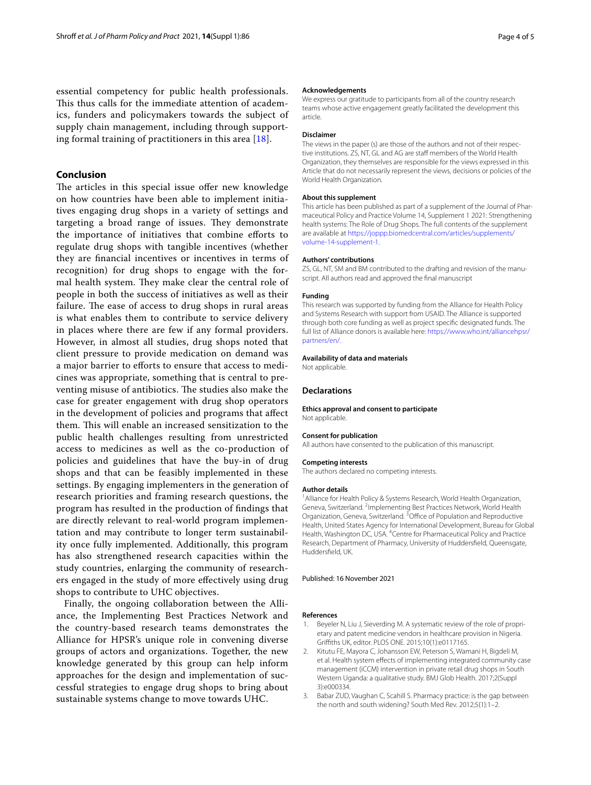essential competency for public health professionals. This thus calls for the immediate attention of academics, funders and policymakers towards the subject of supply chain management, including through supporting formal training of practitioners in this area [\[18](#page-4-12)].

## **Conclusion**

The articles in this special issue offer new knowledge on how countries have been able to implement initiatives engaging drug shops in a variety of settings and targeting a broad range of issues. They demonstrate the importance of initiatives that combine eforts to regulate drug shops with tangible incentives (whether they are fnancial incentives or incentives in terms of recognition) for drug shops to engage with the formal health system. They make clear the central role of people in both the success of initiatives as well as their failure. The ease of access to drug shops in rural areas is what enables them to contribute to service delivery in places where there are few if any formal providers. However, in almost all studies, drug shops noted that client pressure to provide medication on demand was a major barrier to eforts to ensure that access to medicines was appropriate, something that is central to preventing misuse of antibiotics. The studies also make the case for greater engagement with drug shop operators in the development of policies and programs that afect them. This will enable an increased sensitization to the public health challenges resulting from unrestricted access to medicines as well as the co-production of policies and guidelines that have the buy-in of drug shops and that can be feasibly implemented in these settings. By engaging implementers in the generation of research priorities and framing research questions, the program has resulted in the production of fndings that are directly relevant to real-world program implementation and may contribute to longer term sustainability once fully implemented. Additionally, this program has also strengthened research capacities within the study countries, enlarging the community of researchers engaged in the study of more efectively using drug shops to contribute to UHC objectives.

Finally, the ongoing collaboration between the Alliance, the Implementing Best Practices Network and the country-based research teams demonstrates the Alliance for HPSR's unique role in convening diverse groups of actors and organizations. Together, the new knowledge generated by this group can help inform approaches for the design and implementation of successful strategies to engage drug shops to bring about sustainable systems change to move towards UHC.

#### **Acknowledgements**

We express our gratitude to participants from all of the country research teams whose active engagement greatly facilitated the development this article.

#### **Disclaimer**

The views in the paper (s) are those of the authors and not of their respective institutions. ZS, NT, GL and AG are staff members of the World Health Organization, they themselves are responsible for the views expressed in this Article that do not necessarily represent the views, decisions or policies of the World Health Organization.

#### **About this supplement**

This article has been published as part of a supplement of the Journal of Pharmaceutical Policy and Practice Volume 14, Supplement 1 2021: Strengthening health systems: The Role of Drug Shops. The full contents of the supplement are available at [https://joppp.biomedcentral.com/articles/supplements/](https://joppp.biomedcentral.com/articles/supplements/volume-14-supplement-1) [volume-14-supplement-1.](https://joppp.biomedcentral.com/articles/supplements/volume-14-supplement-1)

#### **Authors' contributions**

ZS, GL, NT, SM and BM contributed to the drafting and revision of the manuscript. All authors read and approved the fnal manuscript

#### **Funding**

This research was supported by funding from the Alliance for Health Policy and Systems Research with support from USAID. The Alliance is supported through both core funding as well as project specifc designated funds. The full list of Alliance donors is available here: [https://www.who.int/alliancehpsr/](https://www.who.int/alliancehpsr/partners/en/) [partners/en/.](https://www.who.int/alliancehpsr/partners/en/)

#### **Availability of data and materials**

Not applicable.

#### **Declarations**

**Ethics approval and consent to participate** Not applicable.

#### **Consent for publication**

All authors have consented to the publication of this manuscript.

#### **Competing interests**

The authors declared no competing interests.

#### **Author details**

<sup>1</sup> Alliance for Health Policy & Systems Research, World Health Organization, Geneva, Switzerland. <sup>2</sup>Implementing Best Practices Network, World Health Organization, Geneva, Switzerland.<sup>3</sup> Office of Population and Reproductive Health, United States Agency for International Development, Bureau for Global Health, Washington DC, USA. <sup>4</sup> Centre for Pharmaceutical Policy and Practice Research, Department of Pharmacy, University of Huddersfeld, Queensgate, Huddersfeld, UK.

#### Published: 16 November 2021

#### **References**

- <span id="page-3-0"></span>Beyeler N, Liu J, Sieverding M. A systematic review of the role of proprietary and patent medicine vendors in healthcare provision in Nigeria. Grifths UK, editor. PLOS ONE. 2015;10(1):e0117165.
- <span id="page-3-1"></span>2. Kitutu FE, Mayora C, Johansson EW, Peterson S, Wamani H, Bigdeli M, et al. Health system efects of implementing integrated community case management (iCCM) intervention in private retail drug shops in South Western Uganda: a qualitative study. BMJ Glob Health. 2017;2(Suppl 3):e000334.
- <span id="page-3-2"></span>3. Babar ZUD, Vaughan C, Scahill S. Pharmacy practice: is the gap between the north and south widening? South Med Rev. 2012;5(1):1–2.